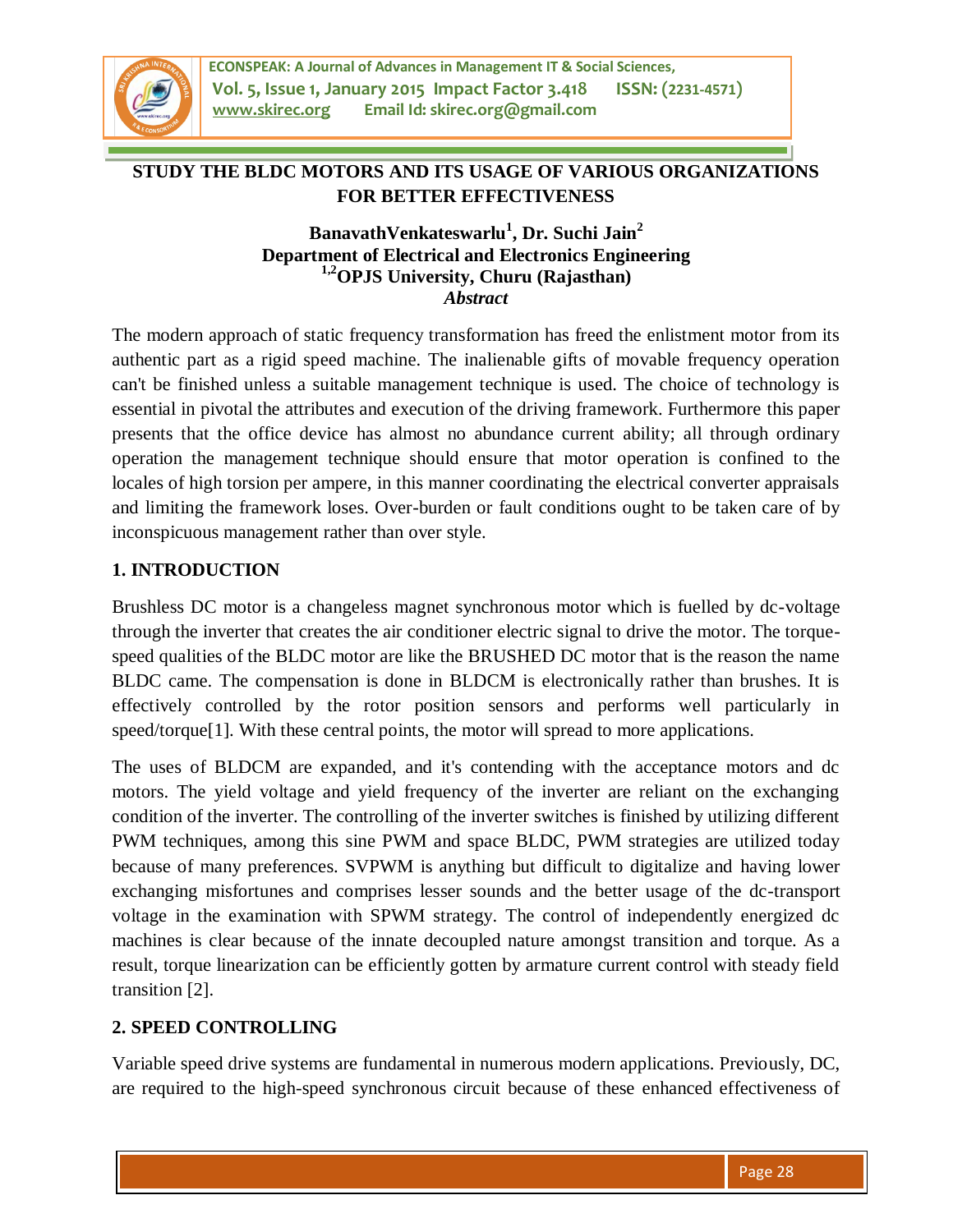

# **STUDY THE BLDC MOTORS AND ITS USAGE OF VARIOUS ORGANIZATIONS FOR BETTER EFFECTIVENESS**

## **BanavathVenkateswarlu<sup>1</sup> , Dr. Suchi Jain<sup>2</sup> Department of Electrical and Electronics Engineering 1,2OPJS University, Churu (Rajasthan)** *Abstract*

The modern approach of static frequency transformation has freed the enlistment motor from its authentic part as a rigid speed machine. The inalienable gifts of movable frequency operation can't be finished unless a suitable management technique is used. The choice of technology is essential in pivotal the attributes and execution of the driving framework. Furthermore this paper presents that the office device has almost no abundance current ability; all through ordinary operation the management technique should ensure that motor operation is confined to the locales of high torsion per ampere, in this manner coordinating the electrical converter appraisals and limiting the framework loses. Over-burden or fault conditions ought to be taken care of by inconspicuous management rather than over style.

## **1. INTRODUCTION**

Brushless DC motor is a changeless magnet synchronous motor which is fuelled by dc-voltage through the inverter that creates the air conditioner electric signal to drive the motor. The torquespeed qualities of the BLDC motor are like the BRUSHED DC motor that is the reason the name BLDC came. The compensation is done in BLDCM is electronically rather than brushes. It is effectively controlled by the rotor position sensors and performs well particularly in speed/torque<sup>[1]</sup>. With these central points, the motor will spread to more applications.

The uses of BLDCM are expanded, and it's contending with the acceptance motors and dc motors. The yield voltage and yield frequency of the inverter are reliant on the exchanging condition of the inverter. The controlling of the inverter switches is finished by utilizing different PWM techniques, among this sine PWM and space BLDC, PWM strategies are utilized today because of many preferences. SVPWM is anything but difficult to digitalize and having lower exchanging misfortunes and comprises lesser sounds and the better usage of the dc-transport voltage in the examination with SPWM strategy. The control of independently energized dc machines is clear because of the innate decoupled nature amongst transition and torque. As a result, torque linearization can be efficiently gotten by armature current control with steady field transition [2].

## **2. SPEED CONTROLLING**

Variable speed drive systems are fundamental in numerous modern applications. Previously, DC, are required to the high-speed synchronous circuit because of these enhanced effectiveness of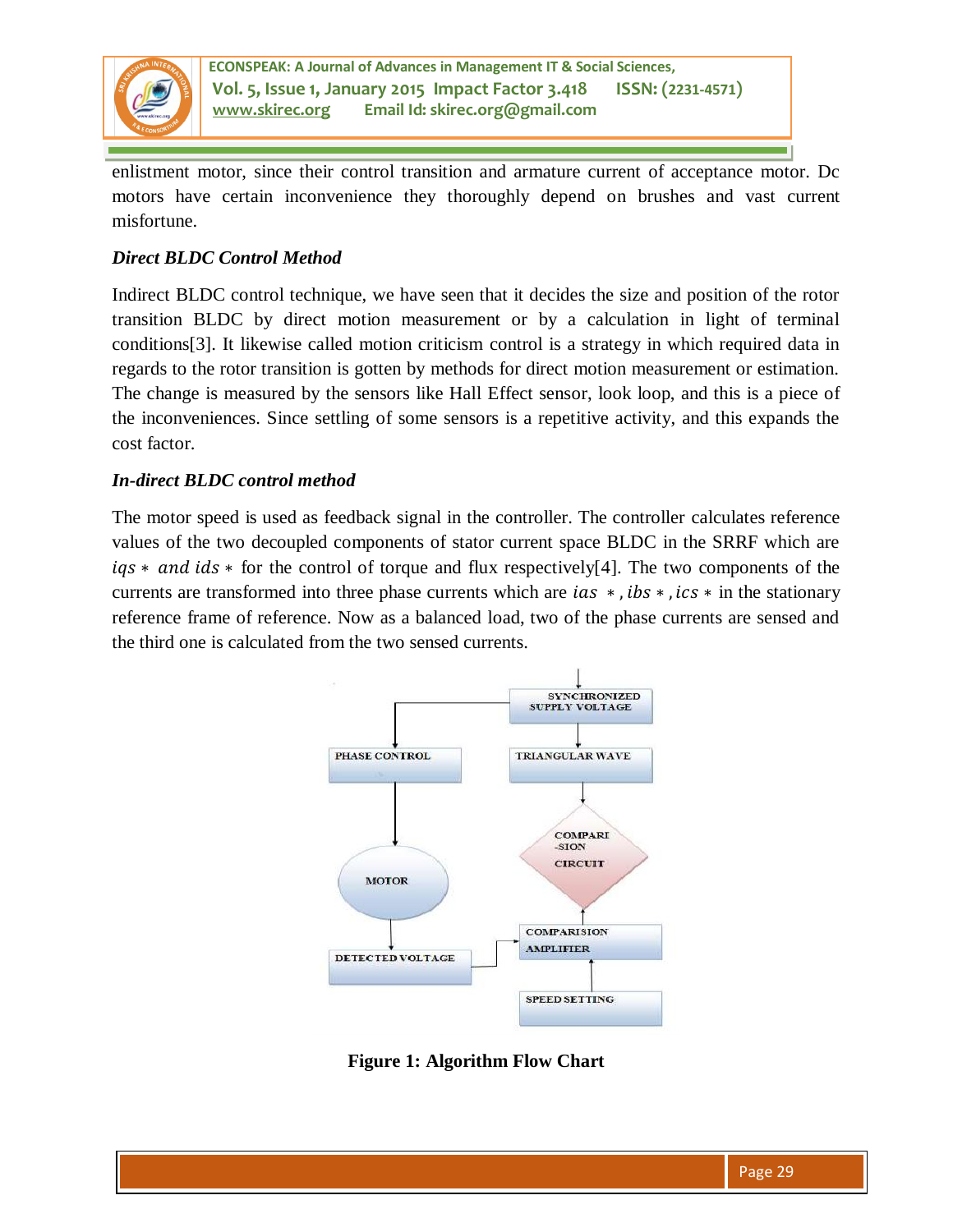

enlistment motor, since their control transition and armature current of acceptance motor. Dc motors have certain inconvenience they thoroughly depend on brushes and vast current misfortune.

## *Direct BLDC Control Method*

Indirect BLDC control technique, we have seen that it decides the size and position of the rotor transition BLDC by direct motion measurement or by a calculation in light of terminal conditions[3]. It likewise called motion criticism control is a strategy in which required data in regards to the rotor transition is gotten by methods for direct motion measurement or estimation. The change is measured by the sensors like Hall Effect sensor, look loop, and this is a piece of the inconveniences. Since settling of some sensors is a repetitive activity, and this expands the cost factor.

### *In-direct BLDC control method*

The motor speed is used as feedback signal in the controller. The controller calculates reference values of the two decoupled components of stator current space BLDC in the SRRF which are  $iqs * and ids *$  for the control of torque and flux respectively[4]. The two components of the currents are transformed into three phase currents which are  $ias *$ ,  $ibs *$ ,  $ics *$  in the stationary reference frame of reference. Now as a balanced load, two of the phase currents are sensed and the third one is calculated from the two sensed currents.



**Figure 1: Algorithm Flow Chart**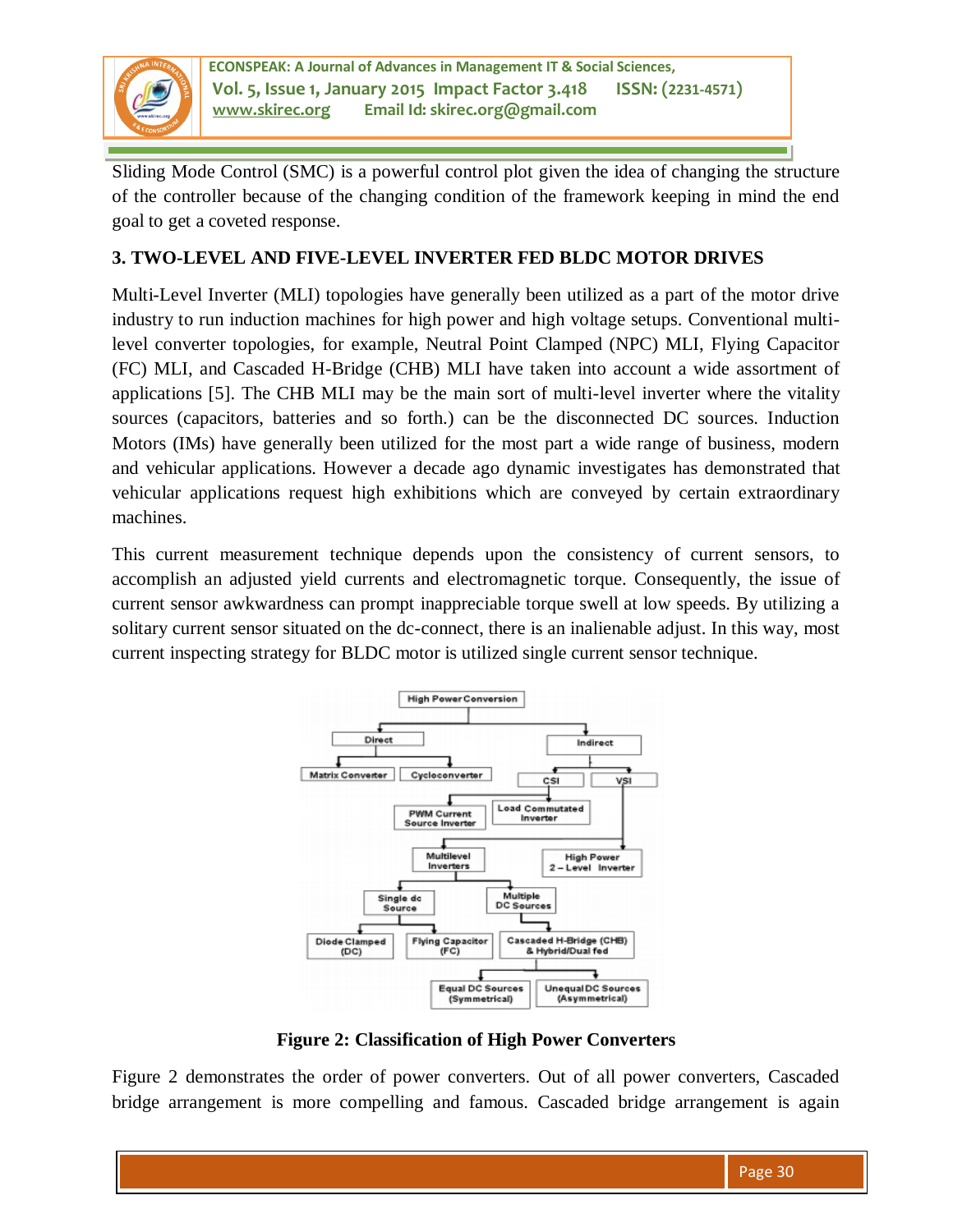

Sliding Mode Control (SMC) is a powerful control plot given the idea of changing the structure of the controller because of the changing condition of the framework keeping in mind the end goal to get a coveted response.

## **3. TWO-LEVEL AND FIVE-LEVEL INVERTER FED BLDC MOTOR DRIVES**

Multi-Level Inverter (MLI) topologies have generally been utilized as a part of the motor drive industry to run induction machines for high power and high voltage setups. Conventional multilevel converter topologies, for example, Neutral Point Clamped (NPC) MLI, Flying Capacitor (FC) MLI, and Cascaded H-Bridge (CHB) MLI have taken into account a wide assortment of applications [5]. The CHB MLI may be the main sort of multi-level inverter where the vitality sources (capacitors, batteries and so forth.) can be the disconnected DC sources. Induction Motors (IMs) have generally been utilized for the most part a wide range of business, modern and vehicular applications. However a decade ago dynamic investigates has demonstrated that vehicular applications request high exhibitions which are conveyed by certain extraordinary machines.

This current measurement technique depends upon the consistency of current sensors, to accomplish an adjusted yield currents and electromagnetic torque. Consequently, the issue of current sensor awkwardness can prompt inappreciable torque swell at low speeds. By utilizing a solitary current sensor situated on the dc-connect, there is an inalienable adjust. In this way, most current inspecting strategy for BLDC motor is utilized single current sensor technique.



**Figure 2: Classification of High Power Converters** 

Figure 2 demonstrates the order of power converters. Out of all power converters, Cascaded bridge arrangement is more compelling and famous. Cascaded bridge arrangement is again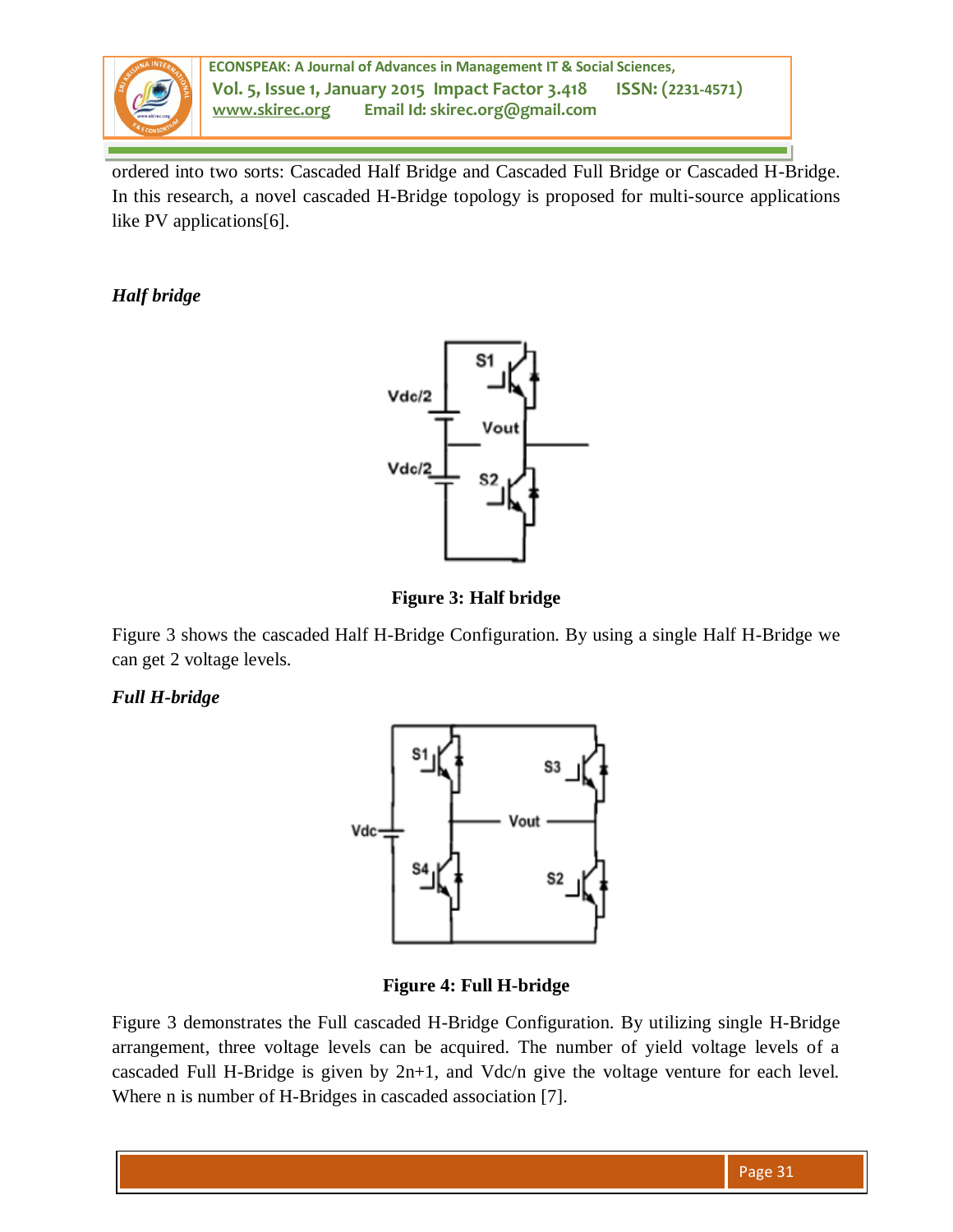

ordered into two sorts: Cascaded Half Bridge and Cascaded Full Bridge or Cascaded H-Bridge. In this research, a novel cascaded H-Bridge topology is proposed for multi-source applications like PV applications[6].

*Half bridge* 



**Figure 3: Half bridge** 

Figure 3 shows the cascaded Half H-Bridge Configuration. By using a single Half H-Bridge we can get 2 voltage levels.

## *Full H-bridge*



**Figure 4: Full H-bridge** 

Figure 3 demonstrates the Full cascaded H-Bridge Configuration. By utilizing single H-Bridge arrangement, three voltage levels can be acquired. The number of yield voltage levels of a cascaded Full H-Bridge is given by 2n+1, and Vdc/n give the voltage venture for each level. Where n is number of H-Bridges in cascaded association [7].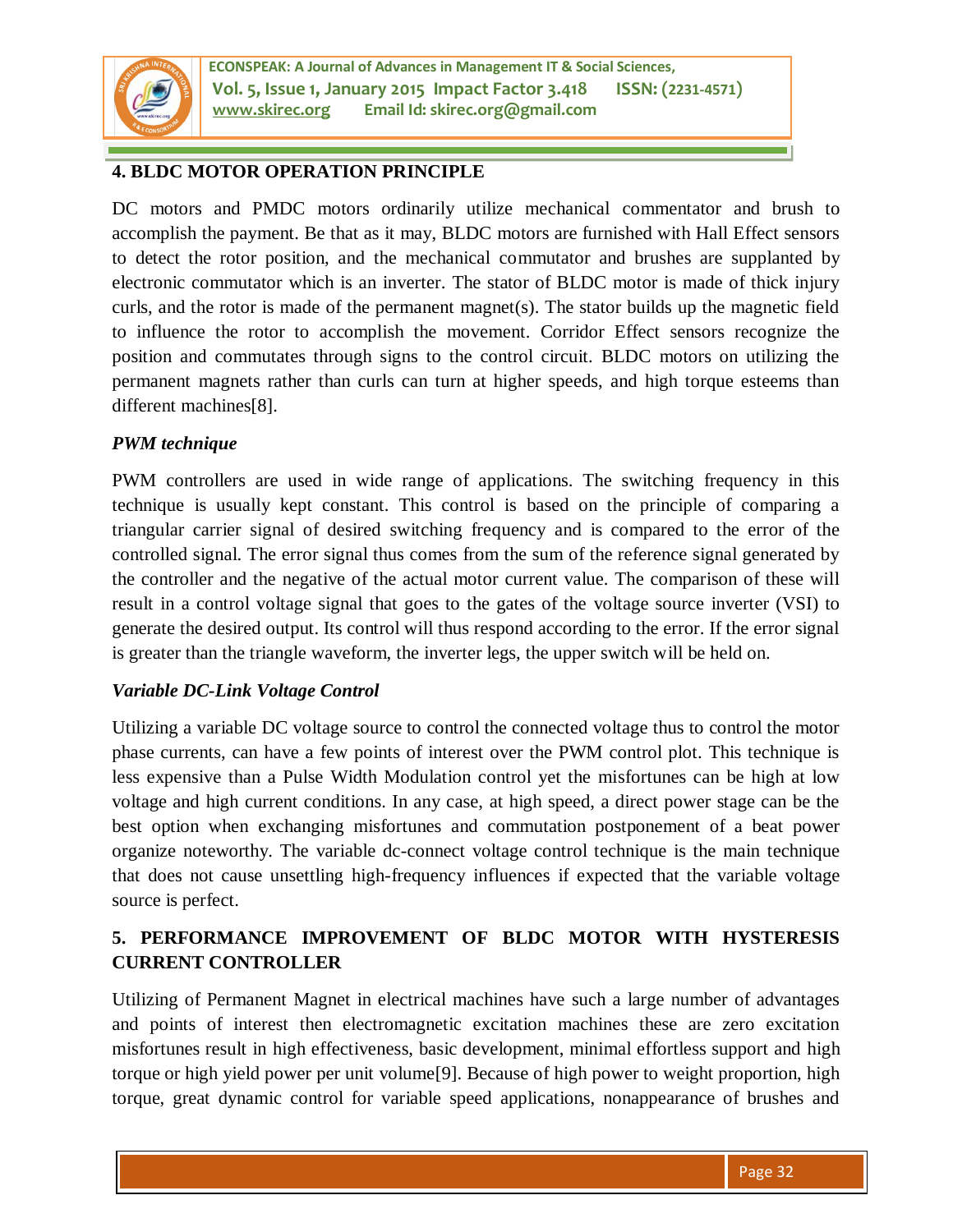

## **4. BLDC MOTOR OPERATION PRINCIPLE**

DC motors and PMDC motors ordinarily utilize mechanical commentator and brush to accomplish the payment. Be that as it may, BLDC motors are furnished with Hall Effect sensors to detect the rotor position, and the mechanical commutator and brushes are supplanted by electronic commutator which is an inverter. The stator of BLDC motor is made of thick injury curls, and the rotor is made of the permanent magnet(s). The stator builds up the magnetic field to influence the rotor to accomplish the movement. Corridor Effect sensors recognize the position and commutates through signs to the control circuit. BLDC motors on utilizing the permanent magnets rather than curls can turn at higher speeds, and high torque esteems than different machines[8].

### *PWM technique*

PWM controllers are used in wide range of applications. The switching frequency in this technique is usually kept constant. This control is based on the principle of comparing a triangular carrier signal of desired switching frequency and is compared to the error of the controlled signal. The error signal thus comes from the sum of the reference signal generated by the controller and the negative of the actual motor current value. The comparison of these will result in a control voltage signal that goes to the gates of the voltage source inverter (VSI) to generate the desired output. Its control will thus respond according to the error. If the error signal is greater than the triangle waveform, the inverter legs, the upper switch will be held on.

## *Variable DC-Link Voltage Control*

Utilizing a variable DC voltage source to control the connected voltage thus to control the motor phase currents, can have a few points of interest over the PWM control plot. This technique is less expensive than a Pulse Width Modulation control yet the misfortunes can be high at low voltage and high current conditions. In any case, at high speed, a direct power stage can be the best option when exchanging misfortunes and commutation postponement of a beat power organize noteworthy. The variable dc-connect voltage control technique is the main technique that does not cause unsettling high-frequency influences if expected that the variable voltage source is perfect.

# **5. PERFORMANCE IMPROVEMENT OF BLDC MOTOR WITH HYSTERESIS CURRENT CONTROLLER**

Utilizing of Permanent Magnet in electrical machines have such a large number of advantages and points of interest then electromagnetic excitation machines these are zero excitation misfortunes result in high effectiveness, basic development, minimal effortless support and high torque or high yield power per unit volume[9]. Because of high power to weight proportion, high torque, great dynamic control for variable speed applications, nonappearance of brushes and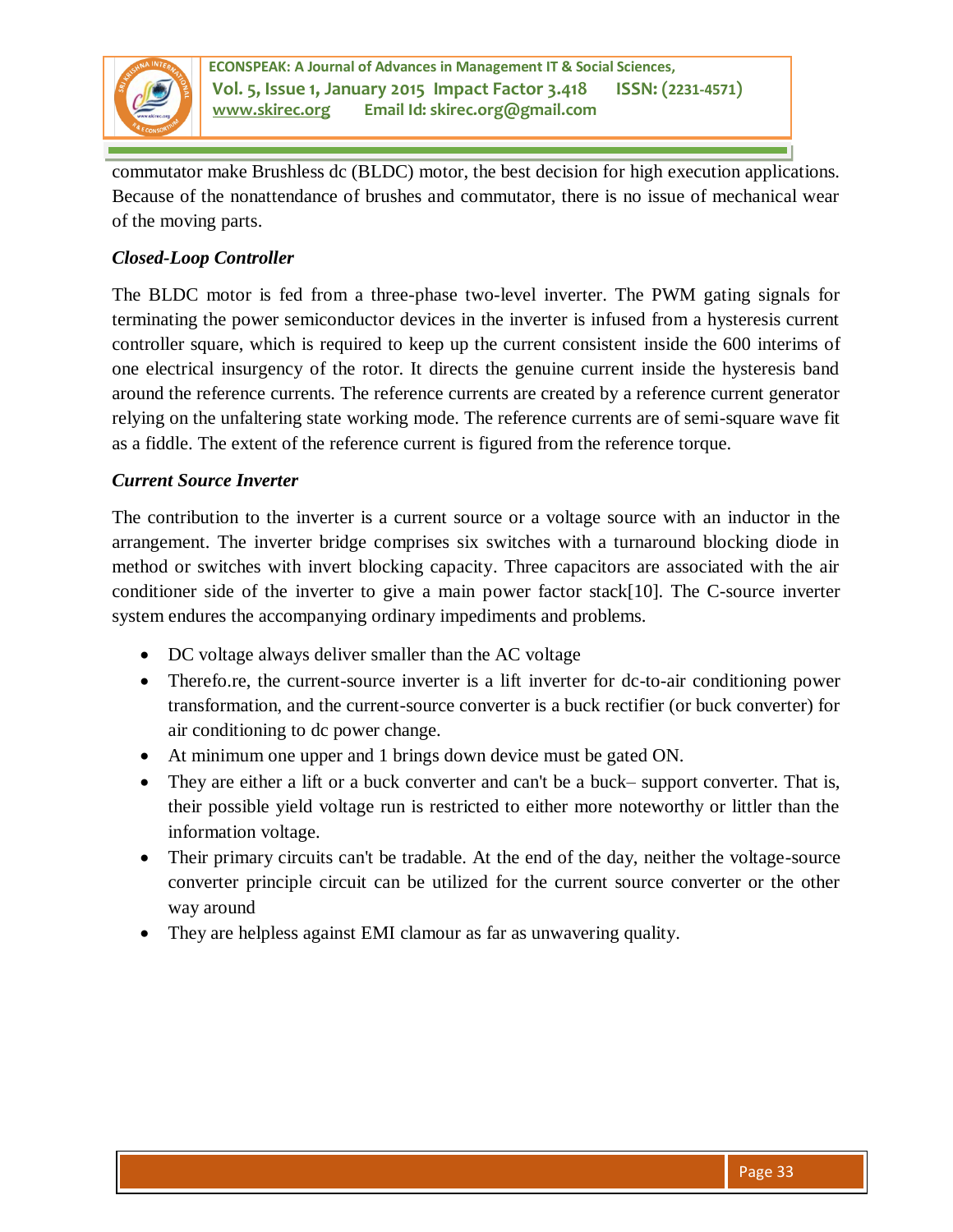

commutator make Brushless dc (BLDC) motor, the best decision for high execution applications. Because of the nonattendance of brushes and commutator, there is no issue of mechanical wear of the moving parts.

## *Closed-Loop Controller*

The BLDC motor is fed from a three-phase two-level inverter. The PWM gating signals for terminating the power semiconductor devices in the inverter is infused from a hysteresis current controller square, which is required to keep up the current consistent inside the 600 interims of one electrical insurgency of the rotor. It directs the genuine current inside the hysteresis band around the reference currents. The reference currents are created by a reference current generator relying on the unfaltering state working mode. The reference currents are of semi-square wave fit as a fiddle. The extent of the reference current is figured from the reference torque.

## *Current Source Inverter*

The contribution to the inverter is a current source or a voltage source with an inductor in the arrangement. The inverter bridge comprises six switches with a turnaround blocking diode in method or switches with invert blocking capacity. Three capacitors are associated with the air conditioner side of the inverter to give a main power factor stack[10]. The C-source inverter system endures the accompanying ordinary impediments and problems.

- DC voltage always deliver smaller than the AC voltage
- Therefo.re, the current-source inverter is a lift inverter for dc-to-air conditioning power transformation, and the current-source converter is a buck rectifier (or buck converter) for air conditioning to dc power change.
- At minimum one upper and 1 brings down device must be gated ON.
- They are either a lift or a buck converter and can't be a buck– support converter. That is, their possible yield voltage run is restricted to either more noteworthy or littler than the information voltage.
- Their primary circuits can't be tradable. At the end of the day, neither the voltage-source converter principle circuit can be utilized for the current source converter or the other way around
- They are helpless against EMI clamour as far as unwavering quality.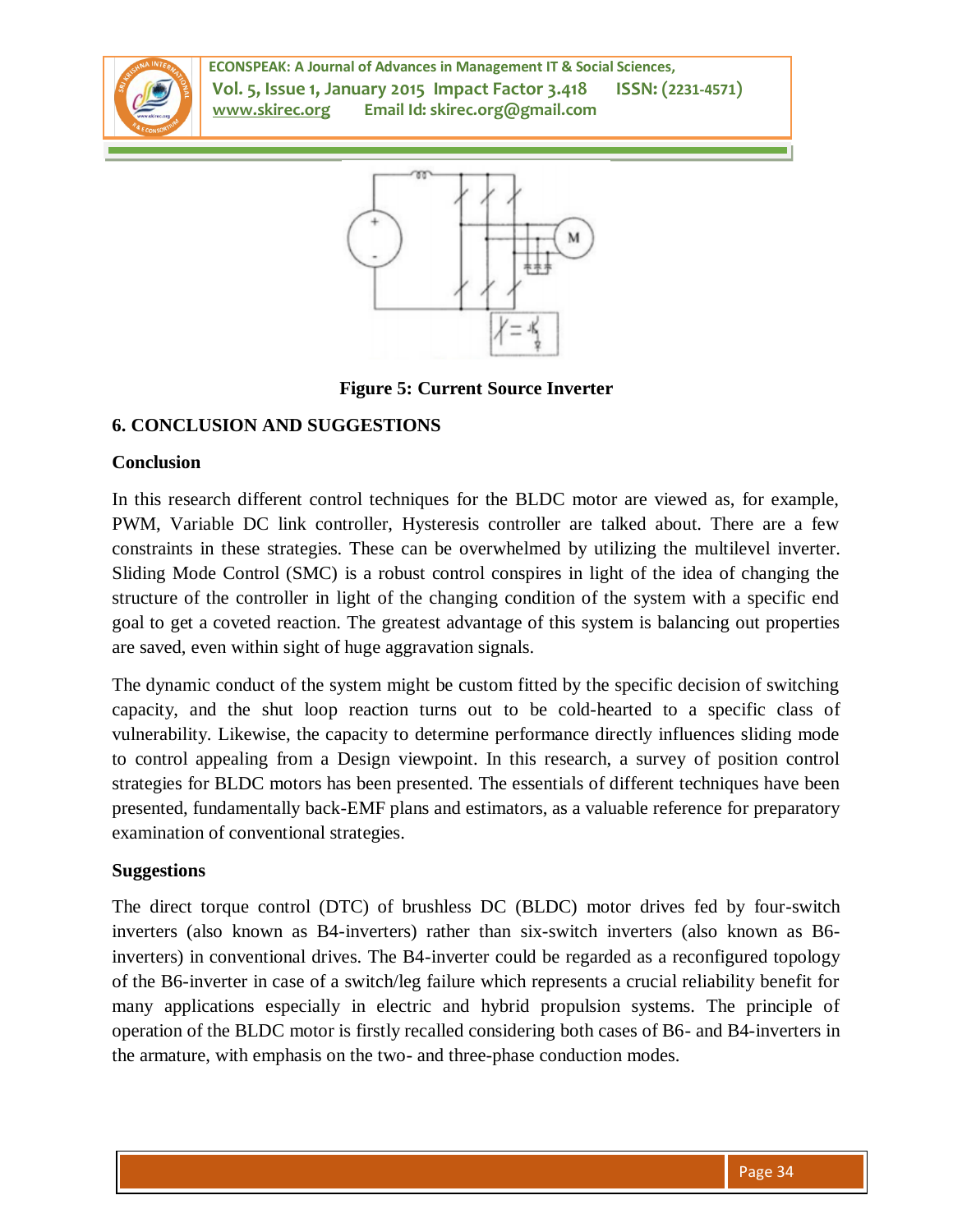

**ECONSPEAK: A Journal of Advances in Management IT & Social Sciences, Vol. 5, Issue 1, January 2015 Impact Factor 3.418 ISSN: (2231-4571) www.skirec.org Email Id: skirec.org@gmail.com**



**Figure 5: Current Source Inverter** 

## **6. CONCLUSION AND SUGGESTIONS**

#### **Conclusion**

In this research different control techniques for the BLDC motor are viewed as, for example, PWM, Variable DC link controller, Hysteresis controller are talked about. There are a few constraints in these strategies. These can be overwhelmed by utilizing the multilevel inverter. Sliding Mode Control (SMC) is a robust control conspires in light of the idea of changing the structure of the controller in light of the changing condition of the system with a specific end goal to get a coveted reaction. The greatest advantage of this system is balancing out properties are saved, even within sight of huge aggravation signals.

The dynamic conduct of the system might be custom fitted by the specific decision of switching capacity, and the shut loop reaction turns out to be cold-hearted to a specific class of vulnerability. Likewise, the capacity to determine performance directly influences sliding mode to control appealing from a Design viewpoint. In this research, a survey of position control strategies for BLDC motors has been presented. The essentials of different techniques have been presented, fundamentally back-EMF plans and estimators, as a valuable reference for preparatory examination of conventional strategies.

#### **Suggestions**

The direct torque control (DTC) of brushless DC (BLDC) motor drives fed by four-switch inverters (also known as B4-inverters) rather than six-switch inverters (also known as B6 inverters) in conventional drives. The B4-inverter could be regarded as a reconfigured topology of the B6-inverter in case of a switch/leg failure which represents a crucial reliability benefit for many applications especially in electric and hybrid propulsion systems. The principle of operation of the BLDC motor is firstly recalled considering both cases of B6- and B4-inverters in the armature, with emphasis on the two- and three-phase conduction modes.